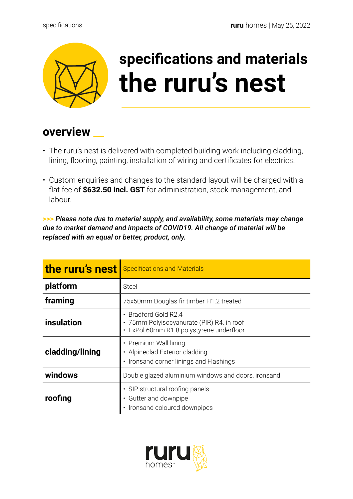

## **specifications and materials the ruru's nest**

## **overview \_\_**

- The ruru's nest is delivered with completed building work including cladding, lining, flooring, painting, installation of wiring and certificates for electrics.
- Custom enquiries and changes to the standard layout will be charged with a flat fee of **\$632.50 incl. GST** for administration, stock management, and labour.

**>>>** *Please note due to material supply, and availability, some materials may change due to market demand and impacts of COVID19. All change of material will be replaced with an equal or better, product, only.* 

| the ruru's nest | <b>Specifications and Materials</b>                                                                         |
|-----------------|-------------------------------------------------------------------------------------------------------------|
| platform        | <b>Steel</b>                                                                                                |
| framing         | 75x50mm Douglas fir timber H1.2 treated                                                                     |
| insulation      | Bradford Gold R2.4<br>· 75mm Polyisocyanurate (PIR) R4. in roof<br>· ExPol 60mm R1.8 polystyrene underfloor |
| cladding/lining | • Premium Wall lining<br>• Alpineclad Exterior cladding<br>• Ironsand corner linings and Flashings          |
| windows         | Double glazed aluminium windows and doors, ironsand                                                         |
| roofing         | • SIP structural roofing panels<br>• Gutter and downpipe<br>· Ironsand coloured downpipes                   |

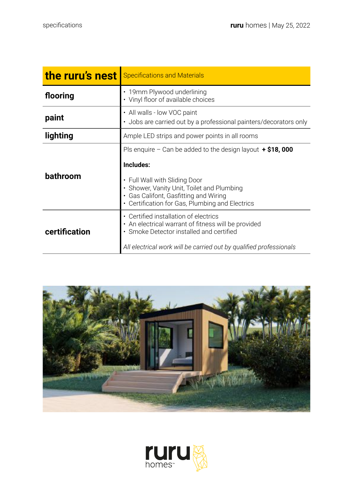| the ruru's nest | <b>Specifications and Materials</b>                                                                                                                                                                                                                     |
|-----------------|---------------------------------------------------------------------------------------------------------------------------------------------------------------------------------------------------------------------------------------------------------|
| flooring        | • 19mm Plywood underlining<br>• Vinyl floor of available choices                                                                                                                                                                                        |
| paint           | • All walls - low VOC paint<br>• Jobs are carried out by a professional painters/decorators only                                                                                                                                                        |
| lighting        | Ample LED strips and power points in all rooms                                                                                                                                                                                                          |
| bathroom        | Pls enquire – Can be added to the design layout $\div$ \$18,000<br>Includes:<br>• Full Wall with Sliding Door<br>• Shower, Vanity Unit, Toilet and Plumbing<br>• Gas Califont, Gasfitting and Wiring<br>• Certification for Gas, Plumbing and Electrics |
| certification   | • Certified installation of electrics<br>• An electrical warrant of fitness will be provided<br>• Smoke Detector installed and certified<br>All electrical work will be carried out by qualified professionals                                          |